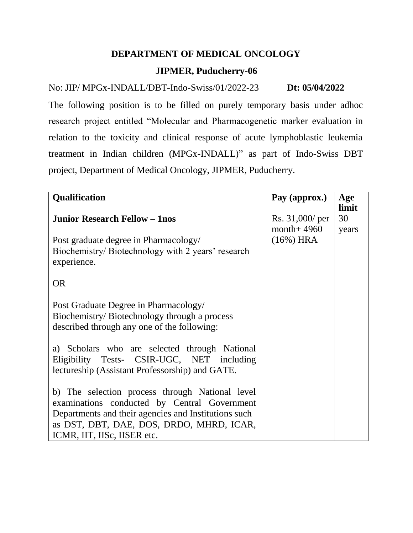## **DEPARTMENT OF MEDICAL ONCOLOGY**

## **JIPMER, Puducherry-06**

# No: JIP/ MPGx-INDALL/DBT-Indo-Swiss/01/2022-23 **Dt: 05/04/2022**

The following position is to be filled on purely temporary basis under adhoc research project entitled "Molecular and Pharmacogenetic marker evaluation in relation to the toxicity and clinical response of acute lymphoblastic leukemia treatment in Indian children (MPGx-INDALL)" as part of Indo-Swiss DBT project, Department of Medical Oncology, JIPMER, Puducherry.

| <b>Qualification</b>                                 | Pay (approx.)  | Age<br>limit |
|------------------------------------------------------|----------------|--------------|
| <b>Junior Research Fellow - 1nos</b>                 | Rs. 31,000/per | 30           |
|                                                      | month + $4960$ | years        |
| Post graduate degree in Pharmacology/                | $(16\%)$ HRA   |              |
| Biochemistry/Biotechnology with 2 years' research    |                |              |
| experience.                                          |                |              |
| <b>OR</b>                                            |                |              |
|                                                      |                |              |
| Post Graduate Degree in Pharmacology/                |                |              |
| Biochemistry/Biotechnology through a process         |                |              |
| described through any one of the following:          |                |              |
|                                                      |                |              |
| a) Scholars who are selected through National        |                |              |
| Eligibility Tests- CSIR-UGC, NET including           |                |              |
| lectureship (Assistant Professorship) and GATE.      |                |              |
|                                                      |                |              |
| b) The selection process through National level      |                |              |
| examinations conducted by Central Government         |                |              |
| Departments and their agencies and Institutions such |                |              |
| as DST, DBT, DAE, DOS, DRDO, MHRD, ICAR,             |                |              |
| ICMR, IIT, IISc, IISER etc.                          |                |              |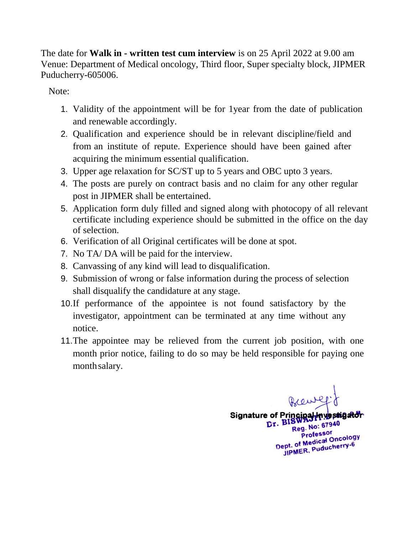The date for **Walk in - written test cum interview** is on 25 April 2022 at 9.00 am Venue: Department of Medical oncology, Third floor, Super specialty block, JIPMER Puducherry-605006.

Note:

- 1. Validity of the appointment will be for 1year from the date of publication and renewable accordingly.
- 2. Qualification and experience should be in relevant discipline/field and from an institute of repute. Experience should have been gained after acquiring the minimum essential qualification.
- 3. Upper age relaxation for SC/ST up to 5 years and OBC upto 3 years.
- 4. The posts are purely on contract basis and no claim for any other regular post in JIPMER shall be entertained.
- 5. Application form duly filled and signed along with photocopy of all relevant certificate including experience should be submitted in the office on the day of selection.
- 6. Verification of all Original certificates will be done at spot.
- 7. No TA/ DA will be paid for the interview.
- 8. Canvassing of any kind will lead to disqualification.
- 9. Submission of wrong or false information during the process of selection shall disqualify the candidature at any stage.
- 10.If performance of the appointee is not found satisfactory by the investigator, appointment can be terminated at any time without any notice.
- 11.The appointee may be relieved from the current job position, with one month prior notice, failing to do so may be held responsible for paying one monthsalary.

Brewly Signature of Principal-Investigator Reg. No: 67940 Professor Professor<br>Dept. of Medical Oncology<br>Dept. of Medical Oncology pt. of Medical Officers<br>JIPMER, Puducherry-6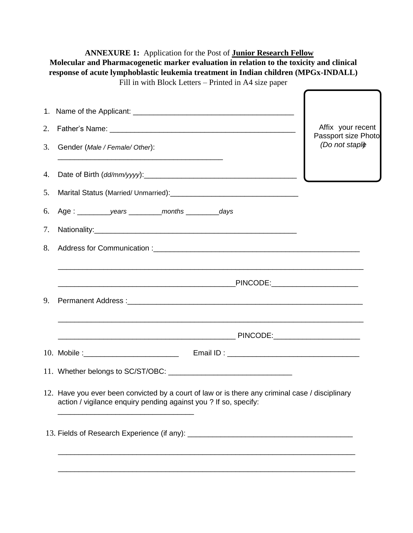| 2. |                                                                                                                                                                                                                                | Affix your recent<br>Passport size Photo |
|----|--------------------------------------------------------------------------------------------------------------------------------------------------------------------------------------------------------------------------------|------------------------------------------|
| 3. | Gender (Male / Female/ Other):                                                                                                                                                                                                 | (Do not staple)                          |
| 4. |                                                                                                                                                                                                                                |                                          |
| 5. |                                                                                                                                                                                                                                |                                          |
| 6. | Age: _____________years ___________months ___________days                                                                                                                                                                      |                                          |
| 7. |                                                                                                                                                                                                                                |                                          |
| 8. |                                                                                                                                                                                                                                |                                          |
|    | <u> 1989 - Johann Harry Harry Harry Harry Harry Harry Harry Harry Harry Harry Harry Harry Harry Harry Harry Harry</u>                                                                                                          |                                          |
| 9. |                                                                                                                                                                                                                                |                                          |
|    |                                                                                                                                                                                                                                |                                          |
|    | 10. Mobile : 10. Mobile : 10. Mobile : 10. Mobile : 10. Mobile : 10. Mobile : 10. Mobile : 10. Mobile : 10. Mobile : 10. Mobile : 10. Mobile : 10. Mobile : 10. Mobile : 10. Mobile : 10. Mobile : 10. Mobile : 10. Mobile : 1 |                                          |
|    |                                                                                                                                                                                                                                |                                          |
|    | 12. Have you ever been convicted by a court of law or is there any criminal case / disciplinary<br>action / vigilance enquiry pending against you? If so, specify:                                                             |                                          |
|    |                                                                                                                                                                                                                                |                                          |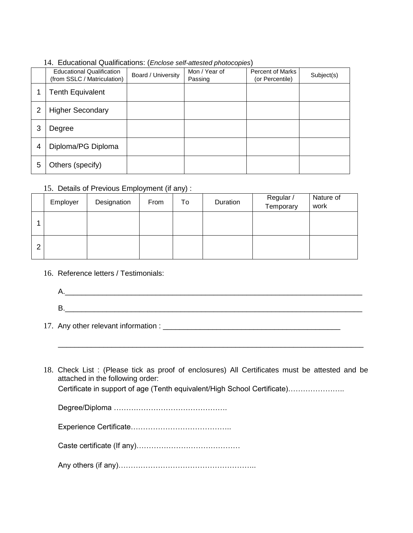14. Educational Qualifications: (*Enclose self-attested photocopies*)

|   | <b>Educational Qualification</b><br>(from SSLC / Matriculation) | Board / University | Mon / Year of<br>Passing | <b>Percent of Marks</b><br>(or Percentile) | Subject(s) |
|---|-----------------------------------------------------------------|--------------------|--------------------------|--------------------------------------------|------------|
| 1 | <b>Tenth Equivalent</b>                                         |                    |                          |                                            |            |
| 2 | <b>Higher Secondary</b>                                         |                    |                          |                                            |            |
| 3 | Degree                                                          |                    |                          |                                            |            |
| 4 | Diploma/PG Diploma                                              |                    |                          |                                            |            |
| 5 | Others (specify)                                                |                    |                          |                                            |            |

### 15. Details of Previous Employment (if any) :

|   | Employer | Designation | From | To | Duration | Regular /<br>Temporary | Nature of<br>work |
|---|----------|-------------|------|----|----------|------------------------|-------------------|
|   |          |             |      |    |          |                        |                   |
| ◠ |          |             |      |    |          |                        |                   |

16. Reference letters / Testimonials:

| - |  |  |  |
|---|--|--|--|

\_\_\_\_\_\_\_\_\_\_\_\_\_\_\_\_\_\_\_\_\_\_\_\_\_\_\_\_\_\_\_\_\_\_\_\_\_\_\_\_\_\_\_\_\_\_\_\_\_\_\_\_\_\_\_\_\_\_\_\_\_\_\_\_\_\_\_\_\_\_\_\_\_\_

17. Any other relevant information : \_\_\_\_\_\_\_\_\_\_\_\_\_\_\_\_\_\_\_\_\_\_\_\_\_\_\_\_\_\_\_\_\_\_\_\_\_\_\_\_\_\_\_

18. Check List : (Please tick as proof of enclosures) All Certificates must be attested and be attached in the following order:

Certificate in support of age (Tenth equivalent/High School Certificate)…………………..

Degree/Diploma ……………………………………….

|--|

|--|--|

|--|--|--|--|